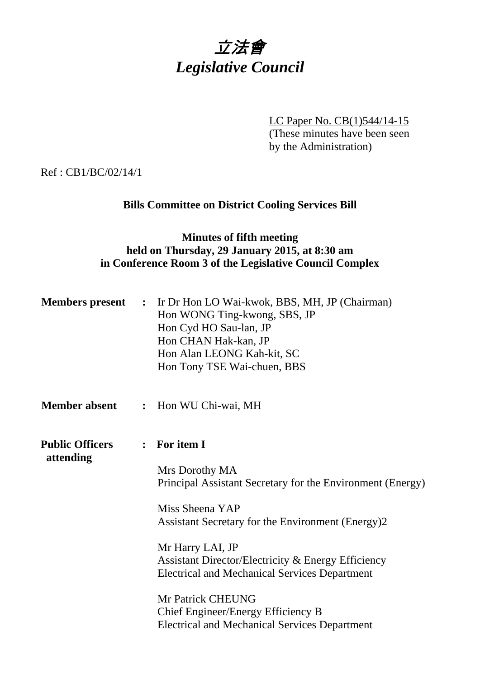

LC Paper No. CB(1)544/14-15 (These minutes have been seen by the Administration)

Ref : CB1/BC/02/14/1

# **Bills Committee on District Cooling Services Bill**

## **Minutes of fifth meeting held on Thursday, 29 January 2015, at 8:30 am in Conference Room 3 of the Legislative Council Complex**

| <b>Members</b> present              | $\ddot{\cdot}$ | Ir Dr Hon LO Wai-kwok, BBS, MH, JP (Chairman)<br>Hon WONG Ting-kwong, SBS, JP<br>Hon Cyd HO Sau-lan, JP<br>Hon CHAN Hak-kan, JP<br>Hon Alan LEONG Kah-kit, SC<br>Hon Tony TSE Wai-chuen, BBS |
|-------------------------------------|----------------|----------------------------------------------------------------------------------------------------------------------------------------------------------------------------------------------|
| <b>Member absent</b>                | $\ddot{\cdot}$ | Hon WU Chi-wai, MH                                                                                                                                                                           |
| <b>Public Officers</b><br>attending |                | : For item I                                                                                                                                                                                 |
|                                     |                | Mrs Dorothy MA<br>Principal Assistant Secretary for the Environment (Energy)                                                                                                                 |
|                                     |                | Miss Sheena YAP<br>Assistant Secretary for the Environment (Energy)2                                                                                                                         |
|                                     |                | Mr Harry LAI, JP<br>Assistant Director/Electricity & Energy Efficiency<br><b>Electrical and Mechanical Services Department</b>                                                               |
|                                     |                | <b>Mr Patrick CHEUNG</b><br>Chief Engineer/Energy Efficiency B<br><b>Electrical and Mechanical Services Department</b>                                                                       |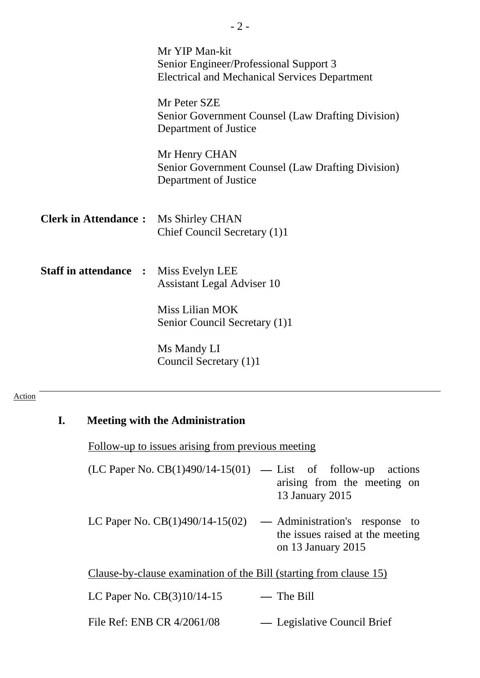|                                              | Mr YIP Man-kit<br>Senior Engineer/Professional Support 3<br><b>Electrical and Mechanical Services Department</b> |
|----------------------------------------------|------------------------------------------------------------------------------------------------------------------|
|                                              | Mr Peter SZE<br>Senior Government Counsel (Law Drafting Division)<br>Department of Justice                       |
|                                              | Mr Henry CHAN<br>Senior Government Counsel (Law Drafting Division)<br>Department of Justice                      |
| <b>Clerk in Attendance:</b>                  | Ms Shirley CHAN<br>Chief Council Secretary (1)1                                                                  |
| <b>Staff in attendance : Miss Evelyn LEE</b> | <b>Assistant Legal Adviser 10</b>                                                                                |
|                                              | Miss Lilian MOK<br>Senior Council Secretary (1)1                                                                 |
|                                              | Ms Mandy LI<br>Council Secretary (1)1                                                                            |

- 2 -

#### Action

# **I. Meeting with the Administration**

Follow-up to issues arising from previous meeting

| $(LC$ Paper No. $CB(1)490/14-15(01)$ — List of follow-up actions |                 |  |                             |  |
|------------------------------------------------------------------|-----------------|--|-----------------------------|--|
|                                                                  |                 |  | arising from the meeting on |  |
|                                                                  | 13 January 2015 |  |                             |  |

LC Paper No. CB(1)490/14-15(02) **—** Administration's response to the issues raised at the meeting on 13 January 2015

Clause-by-clause examination of the Bill (starting from clause 15)

| LC Paper No. $CB(3)10/14-15$ | — The Bill                  |
|------------------------------|-----------------------------|
| File Ref: ENB CR 4/2061/08   | — Legislative Council Brief |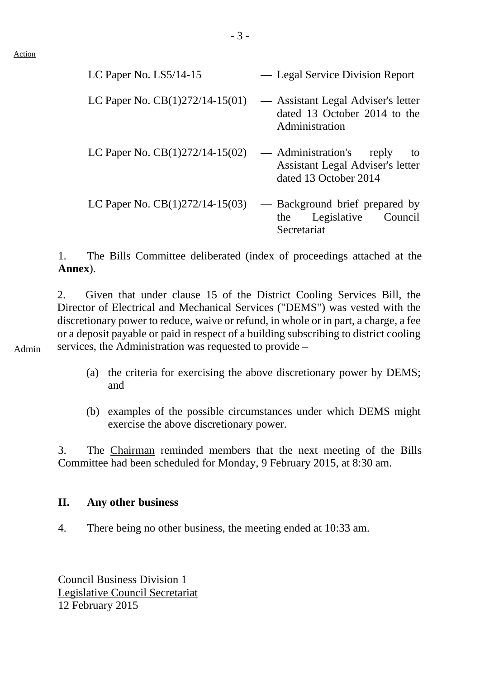Admin

| LC Paper No. $LS5/14-15$          | — Legal Service Division Report                                                                       |
|-----------------------------------|-------------------------------------------------------------------------------------------------------|
| LC Paper No. $CB(1)272/14-15(01)$ | — Assistant Legal Adviser's letter<br>dated 13 October 2014 to the<br>Administration                  |
| LC Paper No. $CB(1)272/14-15(02)$ | — Administration's<br>reply<br>to<br>Assistant Legal Adviser's letter<br>dated 13 October 2014        |
| LC Paper No. $CB(1)272/14-15(03)$ | Background brief prepared by<br>$\overline{\phantom{m}}$<br>Legislative Council<br>the<br>Secretariat |

1. The Bills Committee deliberated (index of proceedings attached at the **Annex**).

2. Given that under clause 15 of the District Cooling Services Bill, the Director of Electrical and Mechanical Services ("DEMS") was vested with the discretionary power to reduce, waive or refund, in whole or in part, a charge, a fee or a deposit payable or paid in respect of a building subscribing to district cooling services, the Administration was requested to provide –

- (a) the criteria for exercising the above discretionary power by DEMS; and
- (b) examples of the possible circumstances under which DEMS might exercise the above discretionary power.

3. The Chairman reminded members that the next meeting of the Bills Committee had been scheduled for Monday, 9 February 2015, at 8:30 am.

### **II. Any other business**

4. There being no other business, the meeting ended at 10:33 am.

Council Business Division 1 Legislative Council Secretariat 12 February 2015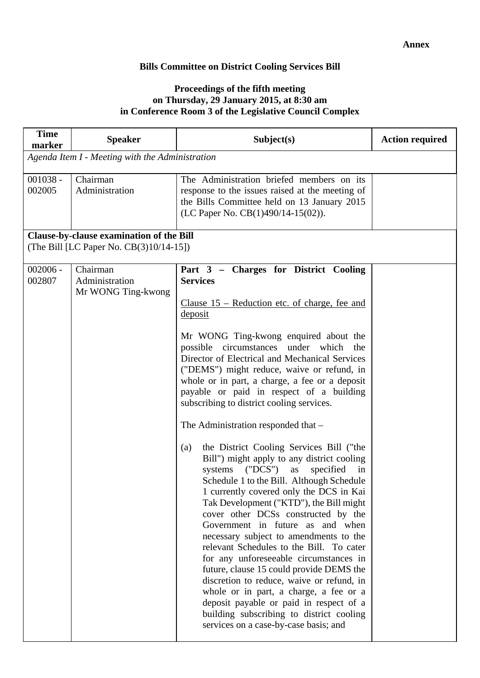### **Bills Committee on District Cooling Services Bill**

#### **Proceedings of the fifth meeting on Thursday, 29 January 2015, at 8:30 am in Conference Room 3 of the Legislative Council Complex**

| <b>Time</b><br>marker | <b>Speaker</b>                                                                      | Subject(s)                                                                                                                                                                                                                                                                                                                                                                                                                                                                                                                                                                                                                                                                                                                                                                                                                                                                                                                                                                                                                                                                                                                                                                                                                                                   | <b>Action required</b> |  |  |  |
|-----------------------|-------------------------------------------------------------------------------------|--------------------------------------------------------------------------------------------------------------------------------------------------------------------------------------------------------------------------------------------------------------------------------------------------------------------------------------------------------------------------------------------------------------------------------------------------------------------------------------------------------------------------------------------------------------------------------------------------------------------------------------------------------------------------------------------------------------------------------------------------------------------------------------------------------------------------------------------------------------------------------------------------------------------------------------------------------------------------------------------------------------------------------------------------------------------------------------------------------------------------------------------------------------------------------------------------------------------------------------------------------------|------------------------|--|--|--|
|                       | Agenda Item I - Meeting with the Administration                                     |                                                                                                                                                                                                                                                                                                                                                                                                                                                                                                                                                                                                                                                                                                                                                                                                                                                                                                                                                                                                                                                                                                                                                                                                                                                              |                        |  |  |  |
| $001038 -$<br>002005  | Chairman<br>Administration                                                          | The Administration briefed members on its<br>response to the issues raised at the meeting of<br>the Bills Committee held on 13 January 2015<br>(LC Paper No. CB(1)490/14-15(02)).                                                                                                                                                                                                                                                                                                                                                                                                                                                                                                                                                                                                                                                                                                                                                                                                                                                                                                                                                                                                                                                                            |                        |  |  |  |
|                       | Clause-by-clause examination of the Bill<br>(The Bill [LC Paper No. CB(3)10/14-15]) |                                                                                                                                                                                                                                                                                                                                                                                                                                                                                                                                                                                                                                                                                                                                                                                                                                                                                                                                                                                                                                                                                                                                                                                                                                                              |                        |  |  |  |
| $002006 -$<br>002807  | Chairman<br>Administration<br>Mr WONG Ting-kwong                                    | Part 3 - Charges for District Cooling<br><b>Services</b><br>Clause $15$ – Reduction etc. of charge, fee and<br>deposit<br>Mr WONG Ting-kwong enquired about the<br>possible circumstances under which<br>the<br>Director of Electrical and Mechanical Services<br>("DEMS") might reduce, waive or refund, in<br>whole or in part, a charge, a fee or a deposit<br>payable or paid in respect of a building<br>subscribing to district cooling services.<br>The Administration responded that -<br>the District Cooling Services Bill ("the<br>(a)<br>Bill") might apply to any district cooling<br>systems ("DCS")<br>as<br>specified<br>in<br>Schedule 1 to the Bill. Although Schedule<br>1 currently covered only the DCS in Kai<br>Tak Development ("KTD"), the Bill might<br>cover other DCSs constructed by the<br>Government in future as and when<br>necessary subject to amendments to the<br>relevant Schedules to the Bill. To cater<br>for any unforeseeable circumstances in<br>future, clause 15 could provide DEMS the<br>discretion to reduce, waive or refund, in<br>whole or in part, a charge, a fee or a<br>deposit payable or paid in respect of a<br>building subscribing to district cooling<br>services on a case-by-case basis; and |                        |  |  |  |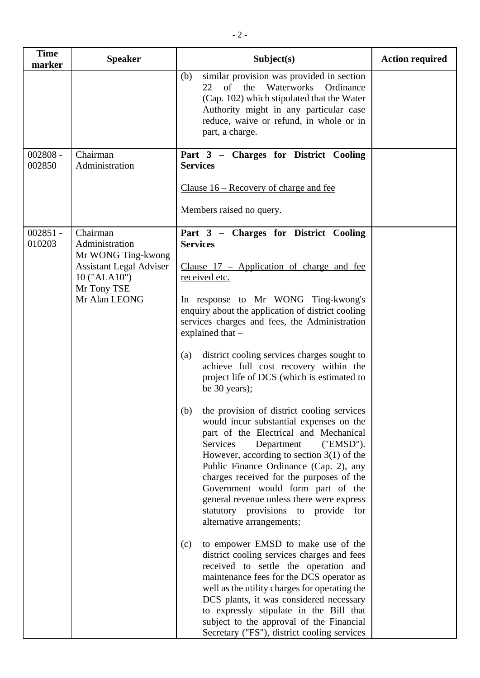| <b>Time</b><br><b>Speaker</b>                                                                                                                              | Subject(s)                                                                                                                                                                                                                                                                                                                                                                                                                                                                                                                                                                                                                                                                                                                                                                                                                                                                                                                                                                                                                                                                                                                                                                                                                                                                                           | <b>Action required</b> |
|------------------------------------------------------------------------------------------------------------------------------------------------------------|------------------------------------------------------------------------------------------------------------------------------------------------------------------------------------------------------------------------------------------------------------------------------------------------------------------------------------------------------------------------------------------------------------------------------------------------------------------------------------------------------------------------------------------------------------------------------------------------------------------------------------------------------------------------------------------------------------------------------------------------------------------------------------------------------------------------------------------------------------------------------------------------------------------------------------------------------------------------------------------------------------------------------------------------------------------------------------------------------------------------------------------------------------------------------------------------------------------------------------------------------------------------------------------------------|------------------------|
| marker                                                                                                                                                     | similar provision was provided in section<br>(b)<br>of the Waterworks Ordinance<br>22<br>(Cap. 102) which stipulated that the Water<br>Authority might in any particular case<br>reduce, waive or refund, in whole or in<br>part, a charge.                                                                                                                                                                                                                                                                                                                                                                                                                                                                                                                                                                                                                                                                                                                                                                                                                                                                                                                                                                                                                                                          |                        |
| $002808 -$<br>Chairman<br>002850<br>Administration                                                                                                         | Part 3 - Charges for District Cooling<br><b>Services</b><br>Clause 16 – Recovery of charge and fee<br>Members raised no query.                                                                                                                                                                                                                                                                                                                                                                                                                                                                                                                                                                                                                                                                                                                                                                                                                                                                                                                                                                                                                                                                                                                                                                       |                        |
| $002851 -$<br>Chairman<br>010203<br>Administration<br>Mr WONG Ting-kwong<br><b>Assistant Legal Adviser</b><br>10 ("ALA10")<br>Mr Tony TSE<br>Mr Alan LEONG | Part 3 - Charges for District Cooling<br><b>Services</b><br>Clause $17$ – Application of charge and fee<br>received etc.<br>In response to Mr WONG Ting-kwong's<br>enquiry about the application of district cooling<br>services charges and fees, the Administration<br>explained that -<br>district cooling services charges sought to<br>(a)<br>achieve full cost recovery within the<br>project life of DCS (which is estimated to<br>be 30 years);<br>(b) the provision of district cooling services<br>would incur substantial expenses on the<br>part of the Electrical and Mechanical<br>Services<br>Department<br>("EMSD").<br>However, according to section $3(1)$ of the<br>Public Finance Ordinance (Cap. 2), any<br>charges received for the purposes of the<br>Government would form part of the<br>general revenue unless there were express<br>statutory provisions<br>to provide for<br>alternative arrangements;<br>to empower EMSD to make use of the<br>(c)<br>district cooling services charges and fees<br>received to settle the operation and<br>maintenance fees for the DCS operator as<br>well as the utility charges for operating the<br>DCS plants, it was considered necessary<br>to expressly stipulate in the Bill that<br>subject to the approval of the Financial |                        |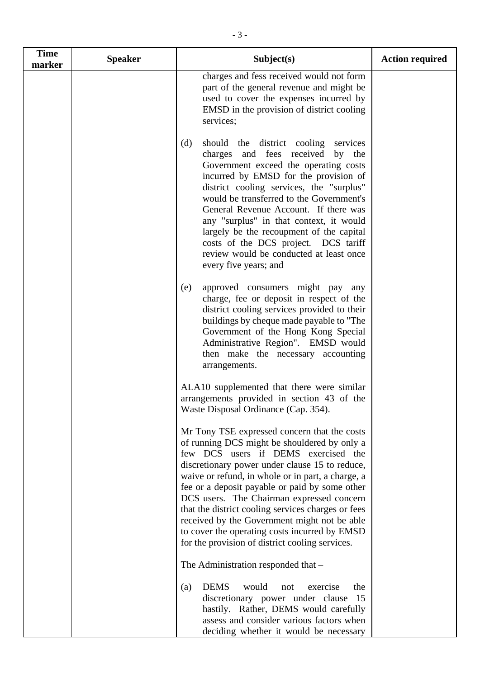| <b>Time</b><br>marker | <b>Speaker</b> | Subject(s)                                                                                                                                                                                                                                                                                                                                                                                                                                                                                                                                          | <b>Action required</b> |
|-----------------------|----------------|-----------------------------------------------------------------------------------------------------------------------------------------------------------------------------------------------------------------------------------------------------------------------------------------------------------------------------------------------------------------------------------------------------------------------------------------------------------------------------------------------------------------------------------------------------|------------------------|
|                       |                | charges and fess received would not form<br>part of the general revenue and might be<br>used to cover the expenses incurred by<br>EMSD in the provision of district cooling<br>services;                                                                                                                                                                                                                                                                                                                                                            |                        |
|                       |                | (d)<br>should the district cooling<br>services<br>charges and fees received<br>by<br>the<br>Government exceed the operating costs<br>incurred by EMSD for the provision of<br>district cooling services, the "surplus"<br>would be transferred to the Government's<br>General Revenue Account. If there was<br>any "surplus" in that context, it would<br>largely be the recoupment of the capital<br>costs of the DCS project. DCS tariff<br>review would be conducted at least once<br>every five years; and                                      |                        |
|                       |                | approved consumers might pay any<br>(e)<br>charge, fee or deposit in respect of the<br>district cooling services provided to their<br>buildings by cheque made payable to "The<br>Government of the Hong Kong Special<br>Administrative Region". EMSD would<br>then make the necessary accounting<br>arrangements.                                                                                                                                                                                                                                  |                        |
|                       |                | ALA10 supplemented that there were similar<br>arrangements provided in section 43 of the<br>Waste Disposal Ordinance (Cap. 354).                                                                                                                                                                                                                                                                                                                                                                                                                    |                        |
|                       |                | Mr Tony TSE expressed concern that the costs<br>of running DCS might be shouldered by only a<br>few DCS users if DEMS exercised the<br>discretionary power under clause 15 to reduce,<br>waive or refund, in whole or in part, a charge, a<br>fee or a deposit payable or paid by some other<br>DCS users. The Chairman expressed concern<br>that the district cooling services charges or fees<br>received by the Government might not be able<br>to cover the operating costs incurred by EMSD<br>for the provision of district cooling services. |                        |
|                       |                | The Administration responded that -                                                                                                                                                                                                                                                                                                                                                                                                                                                                                                                 |                        |
|                       |                | <b>DEMS</b><br>would<br>exercise<br>the<br>(a)<br>not<br>discretionary power under clause 15<br>hastily. Rather, DEMS would carefully<br>assess and consider various factors when<br>deciding whether it would be necessary                                                                                                                                                                                                                                                                                                                         |                        |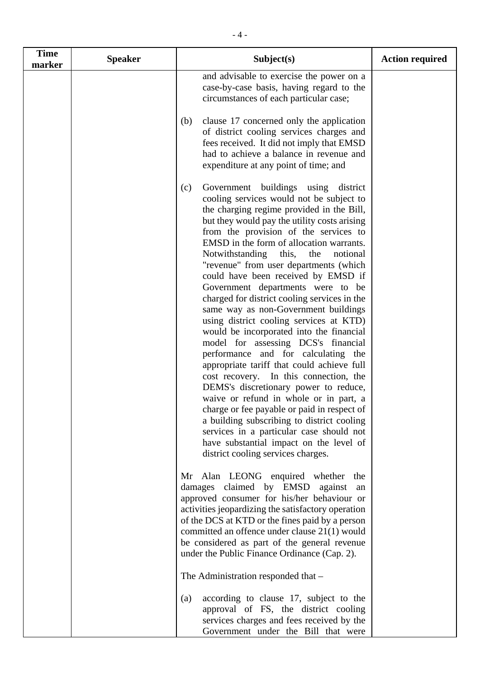- (b) clause 17 concerned only the application of district cooling services charges and fees received. It did not imply that EMSD had to achieve a balance in revenue and expenditure at any point of time; and
- (c) Government buildings using district cooling services would not be subject to the charging regime provided in the Bill, but they would pay the utility costs arising from the provision of the services to EMSD in the form of allocation warrants. Notwithstanding this, the notional "revenue" from user departments (which could have been received by EMSD if Government departments were to be charged for district cooling services in the same way as non-Government buildings using district cooling services at KTD) would be incorporated into the financial model for assessing DCS's financial performance and for calculating the appropriate tariff that could achieve full cost recovery. In this connection, the DEMS's discretionary power to reduce, waive or refund in whole or in part, a charge or fee payable or paid in respect of a building subscribing to district cooling services in a particular case should not have substantial impact on the level of district cooling services charges.

Mr Alan LEONG enquired whether the damages claimed by EMSD against an approved consumer for his/her behaviour or activities jeopardizing the satisfactory operation of the DCS at KTD or the fines paid by a person committed an offence under clause 21(1) would be considered as part of the general revenue under the Public Finance Ordinance (Cap. 2).

The Administration responded that –

(a) according to clause 17, subject to the approval of FS, the district cooling services charges and fees received by the Government under the Bill that were

**Time**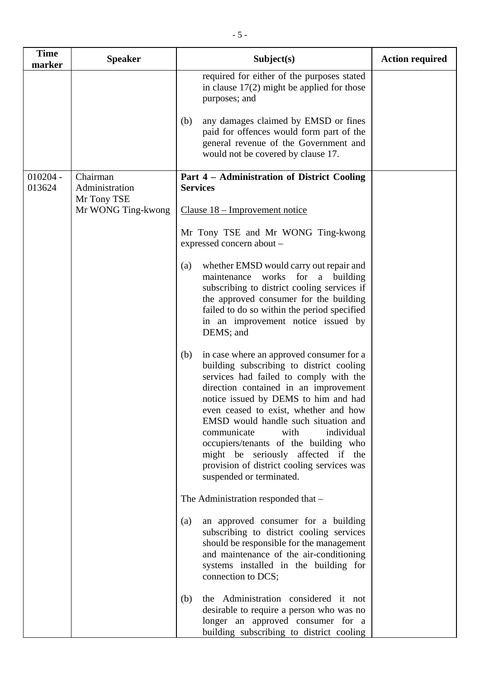| <b>Time</b><br>marker | <b>Speaker</b>                            | Subject(s)                                                                                                                                                                                                                                                                                                                                                                                                                                                                                            | <b>Action required</b> |
|-----------------------|-------------------------------------------|-------------------------------------------------------------------------------------------------------------------------------------------------------------------------------------------------------------------------------------------------------------------------------------------------------------------------------------------------------------------------------------------------------------------------------------------------------------------------------------------------------|------------------------|
|                       |                                           | required for either of the purposes stated<br>in clause $17(2)$ might be applied for those<br>purposes; and                                                                                                                                                                                                                                                                                                                                                                                           |                        |
|                       |                                           | any damages claimed by EMSD or fines<br>(b)<br>paid for offences would form part of the<br>general revenue of the Government and<br>would not be covered by clause 17.                                                                                                                                                                                                                                                                                                                                |                        |
| $010204 -$<br>013624  | Chairman<br>Administration<br>Mr Tony TSE | Part 4 - Administration of District Cooling<br><b>Services</b>                                                                                                                                                                                                                                                                                                                                                                                                                                        |                        |
|                       | Mr WONG Ting-kwong                        | Clause 18 – Improvement notice                                                                                                                                                                                                                                                                                                                                                                                                                                                                        |                        |
|                       |                                           | Mr Tony TSE and Mr WONG Ting-kwong<br>expressed concern about -                                                                                                                                                                                                                                                                                                                                                                                                                                       |                        |
|                       |                                           | whether EMSD would carry out repair and<br>(a)<br>works for a building<br>maintenance<br>subscribing to district cooling services if<br>the approved consumer for the building<br>failed to do so within the period specified<br>in an improvement notice issued by<br>DEMS; and                                                                                                                                                                                                                      |                        |
|                       |                                           | in case where an approved consumer for a<br>(b)<br>building subscribing to district cooling<br>services had failed to comply with the<br>direction contained in an improvement<br>notice issued by DEMS to him and had<br>even ceased to exist, whether and how<br>EMSD would handle such situation and<br>communicate<br>with<br>individual<br>occupiers/tenants of the building who<br>might be seriously affected if the<br>provision of district cooling services was<br>suspended or terminated. |                        |
|                       |                                           | The Administration responded that -                                                                                                                                                                                                                                                                                                                                                                                                                                                                   |                        |
|                       |                                           | an approved consumer for a building<br>(a)<br>subscribing to district cooling services<br>should be responsible for the management<br>and maintenance of the air-conditioning<br>systems installed in the building for<br>connection to DCS;                                                                                                                                                                                                                                                          |                        |
|                       |                                           | the Administration considered it not<br>(b)<br>desirable to require a person who was no<br>longer an approved consumer for a<br>building subscribing to district cooling                                                                                                                                                                                                                                                                                                                              |                        |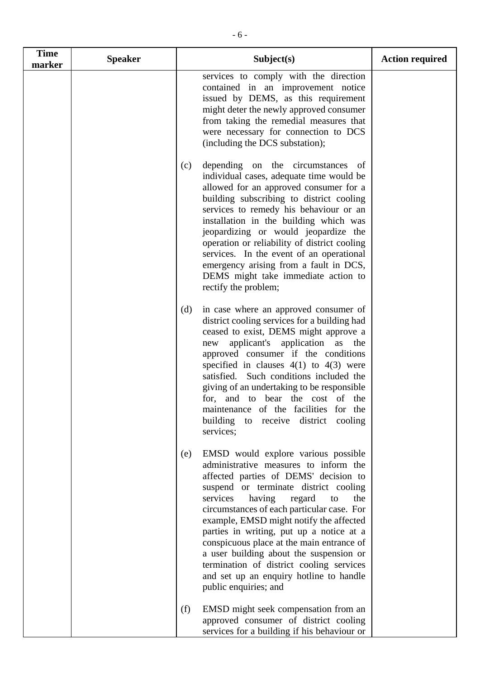| <b>Time</b><br>marker | <b>Speaker</b> | Subject(s)                                                                                                                                                                                                                                                                                                                                                                                                                                                                                                                                                      | <b>Action required</b> |
|-----------------------|----------------|-----------------------------------------------------------------------------------------------------------------------------------------------------------------------------------------------------------------------------------------------------------------------------------------------------------------------------------------------------------------------------------------------------------------------------------------------------------------------------------------------------------------------------------------------------------------|------------------------|
|                       |                | services to comply with the direction<br>contained in an improvement notice<br>issued by DEMS, as this requirement<br>might deter the newly approved consumer<br>from taking the remedial measures that<br>were necessary for connection to DCS<br>(including the DCS substation);                                                                                                                                                                                                                                                                              |                        |
|                       |                | depending on the circumstances<br>(c)<br><sub>of</sub><br>individual cases, adequate time would be<br>allowed for an approved consumer for a<br>building subscribing to district cooling<br>services to remedy his behaviour or an<br>installation in the building which was<br>jeopardizing or would jeopardize the<br>operation or reliability of district cooling<br>services. In the event of an operational<br>emergency arising from a fault in DCS,<br>DEMS might take immediate action to<br>rectify the problem;                                       |                        |
|                       |                | in case where an approved consumer of<br>(d)<br>district cooling services for a building had<br>ceased to exist, DEMS might approve a<br>applicant's application<br>as<br>the<br>new<br>approved consumer if the conditions<br>specified in clauses $4(1)$ to $4(3)$ were<br>satisfied. Such conditions included the<br>giving of an undertaking to be responsible<br>for, and to bear the cost of the<br>maintenance of the facilities for the<br>building<br>district cooling<br>receive<br>to<br>services;                                                   |                        |
|                       |                | EMSD would explore various possible<br>(e)<br>administrative measures to inform the<br>affected parties of DEMS' decision to<br>suspend or terminate district cooling<br>services<br>having<br>regard<br>the<br>to<br>circumstances of each particular case. For<br>example, EMSD might notify the affected<br>parties in writing, put up a notice at a<br>conspicuous place at the main entrance of<br>a user building about the suspension or<br>termination of district cooling services<br>and set up an enquiry hotline to handle<br>public enquiries; and |                        |
|                       |                | (f)<br>EMSD might seek compensation from an<br>approved consumer of district cooling<br>services for a building if his behaviour or                                                                                                                                                                                                                                                                                                                                                                                                                             |                        |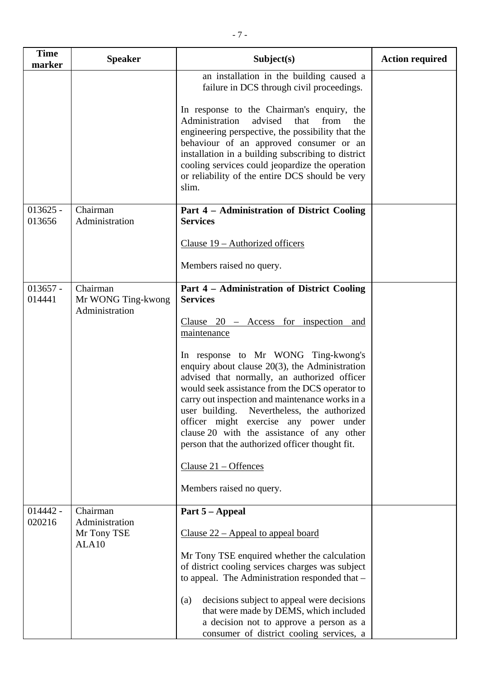| <b>Time</b><br>marker | <b>Speaker</b>                                     | Subject(s)                                                                                                                                                                                                                                                                                                                                                                                                                                                                                                                                                           | <b>Action required</b> |
|-----------------------|----------------------------------------------------|----------------------------------------------------------------------------------------------------------------------------------------------------------------------------------------------------------------------------------------------------------------------------------------------------------------------------------------------------------------------------------------------------------------------------------------------------------------------------------------------------------------------------------------------------------------------|------------------------|
|                       |                                                    | an installation in the building caused a<br>failure in DCS through civil proceedings.                                                                                                                                                                                                                                                                                                                                                                                                                                                                                |                        |
|                       |                                                    | In response to the Chairman's enquiry, the<br>advised<br>Administration<br>that<br>from<br>the<br>engineering perspective, the possibility that the<br>behaviour of an approved consumer or an<br>installation in a building subscribing to district<br>cooling services could jeopardize the operation<br>or reliability of the entire DCS should be very<br>slim.                                                                                                                                                                                                  |                        |
| $013625 -$<br>013656  | Chairman<br>Administration                         | Part 4 - Administration of District Cooling<br><b>Services</b>                                                                                                                                                                                                                                                                                                                                                                                                                                                                                                       |                        |
|                       |                                                    | Clause 19 – Authorized officers                                                                                                                                                                                                                                                                                                                                                                                                                                                                                                                                      |                        |
|                       |                                                    | Members raised no query.                                                                                                                                                                                                                                                                                                                                                                                                                                                                                                                                             |                        |
| $013657 -$<br>014441  | Chairman<br>Mr WONG Ting-kwong<br>Administration   | Part 4 - Administration of District Cooling<br><b>Services</b><br>Clause 20 – Access for inspection and<br>maintenance<br>In response to Mr WONG Ting-kwong's<br>enquiry about clause $20(3)$ , the Administration<br>advised that normally, an authorized officer<br>would seek assistance from the DCS operator to<br>carry out inspection and maintenance works in a<br>user building.<br>Nevertheless, the authorized<br>officer might exercise any power under<br>clause 20 with the assistance of any other<br>person that the authorized officer thought fit. |                        |
|                       |                                                    | Clause $21 -$ Offences<br>Members raised no query.                                                                                                                                                                                                                                                                                                                                                                                                                                                                                                                   |                        |
| $014442 -$            | Chairman                                           | Part 5 – Appeal                                                                                                                                                                                                                                                                                                                                                                                                                                                                                                                                                      |                        |
| 020216                | Administration<br>Mr Tony TSE<br>ALA <sub>10</sub> | Clause $22$ – Appeal to appeal board<br>Mr Tony TSE enquired whether the calculation<br>of district cooling services charges was subject<br>to appeal. The Administration responded that -<br>decisions subject to appeal were decisions<br>(a)<br>that were made by DEMS, which included<br>a decision not to approve a person as a<br>consumer of district cooling services, a                                                                                                                                                                                     |                        |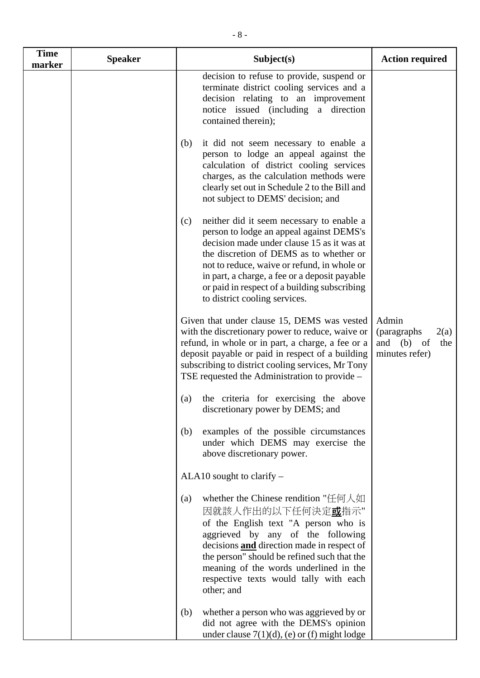| <b>Time</b><br>marker | <b>Speaker</b> | Subject(s)                                                                                                                                                                                                                                                                                                                                                             | <b>Action required</b>                                               |
|-----------------------|----------------|------------------------------------------------------------------------------------------------------------------------------------------------------------------------------------------------------------------------------------------------------------------------------------------------------------------------------------------------------------------------|----------------------------------------------------------------------|
|                       |                | decision to refuse to provide, suspend or<br>terminate district cooling services and a<br>decision relating to an improvement<br>notice issued (including a direction<br>contained therein);                                                                                                                                                                           |                                                                      |
|                       |                | (b)<br>it did not seem necessary to enable a<br>person to lodge an appeal against the<br>calculation of district cooling services<br>charges, as the calculation methods were<br>clearly set out in Schedule 2 to the Bill and<br>not subject to DEMS' decision; and                                                                                                   |                                                                      |
|                       |                | neither did it seem necessary to enable a<br>(c)<br>person to lodge an appeal against DEMS's<br>decision made under clause 15 as it was at<br>the discretion of DEMS as to whether or<br>not to reduce, waive or refund, in whole or<br>in part, a charge, a fee or a deposit payable<br>or paid in respect of a building subscribing<br>to district cooling services. |                                                                      |
|                       |                | Given that under clause 15, DEMS was vested<br>with the discretionary power to reduce, waive or<br>refund, in whole or in part, a charge, a fee or a<br>deposit payable or paid in respect of a building<br>subscribing to district cooling services, Mr Tony<br>TSE requested the Administration to provide –                                                         | Admin<br>(paragraphs)<br>2(a)<br>and (b) of<br>the<br>minutes refer) |
|                       |                | the criteria for exercising the above<br>(a)<br>discretionary power by DEMS; and                                                                                                                                                                                                                                                                                       |                                                                      |
|                       |                | examples of the possible circumstances<br>(b)<br>under which DEMS may exercise the<br>above discretionary power.                                                                                                                                                                                                                                                       |                                                                      |
|                       |                | ALA10 sought to clarify -                                                                                                                                                                                                                                                                                                                                              |                                                                      |
|                       |                | whether the Chinese rendition "任何人如<br>(a)<br>因就該人作出的以下任何決定 <u>或</u> 指示"<br>of the English text "A person who is<br>aggrieved by any of the following<br>decisions and direction made in respect of<br>the person" should be refined such that the<br>meaning of the words underlined in the<br>respective texts would tally with each<br>other; and                   |                                                                      |
|                       |                | whether a person who was aggrieved by or<br>(b)<br>did not agree with the DEMS's opinion<br>under clause $7(1)(d)$ , (e) or (f) might lodge                                                                                                                                                                                                                            |                                                                      |